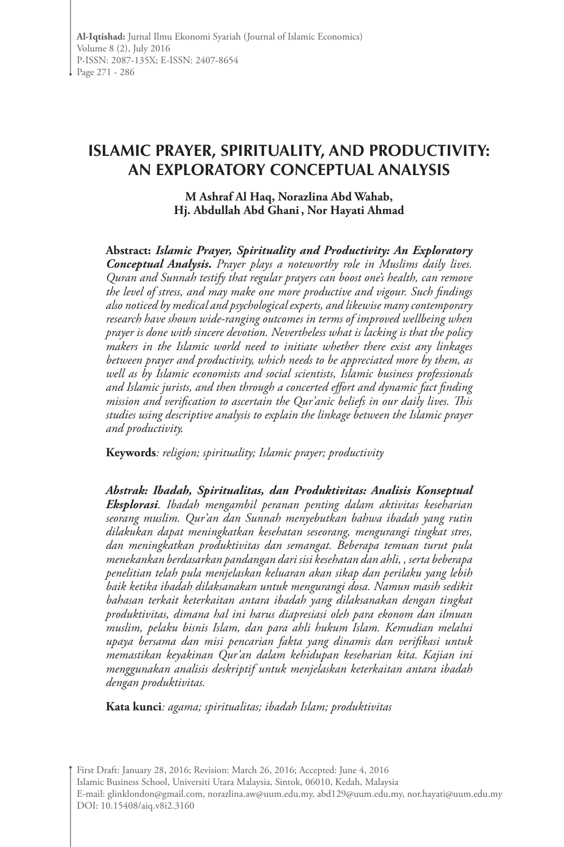# **ISLAMIC PRAYER, SPIRITUALITY, AND PRODUCTIVITY: AN EXPLORATORY CONCEPTUAL ANALYSIS**

**M Ashraf Al Haq, Norazlina Abd Wahab, Hj. Abdullah Abd Ghani , Nor Hayati Ahmad** 

**Abstract:** *Islamic Prayer, Spirituality and Productivity: An Exploratory Conceptual Analysis***.** *Prayer plays a noteworthy role in Muslims daily lives. Quran and Sunnah testify that regular prayers can boost one's health, can remove the level of stress, and may make one more productive and vigour. Such findings also noticed by medical and psychological experts, and likewise many contemporary research have shown wide-ranging outcomes in terms of improved wellbeing when prayer is done with sincere devotion. Nevertheless what is lacking is that the policy makers in the Islamic world need to initiate whether there exist any linkages between prayer and productivity, which needs to be appreciated more by them, as well as by Islamic economists and social scientists, Islamic business professionals and Islamic jurists, and then through a concerted effort and dynamic fact finding mission and verification to ascertain the Qur'anic beliefs in our daily lives. This studies using descriptive analysis to explain the linkage between the Islamic prayer and productivity.*

**Keywords***: religion; spirituality; Islamic prayer; productivity*

*Abstrak: Ibadah, Spiritualitas, dan Produktivitas: Analisis Konseptual Eksplorasi. Ibadah mengambil peranan penting dalam aktivitas keseharian seorang muslim. Qur'an dan Sunnah menyebutkan bahwa ibadah yang rutin dilakukan dapat meningkatkan kesehatan seseorang, mengurangi tingkat stres, dan meningkatkan produktivitas dan semangat. Beberapa temuan turut pula menekankan berdasarkan pandangan dari sisi kesehatan dan ahli, , serta beberapa penelitian telah pula menjelaskan keluaran akan sikap dan perilaku yang lebih baik ketika ibadah dilaksanakan untuk mengurangi dosa. Namun masih sedikit bahasan terkait keterkaitan antara ibadah yang dilaksanakan dengan tingkat produktivitas, dimana hal ini harus diapresiasi oleh para ekonom dan ilmuan muslim, pelaku bisnis Islam, dan para ahli hukum Islam. Kemudian melalui upaya bersama dan misi pencarian fakta yang dinamis dan verifikasi untuk memastikan keyakinan Qur'an dalam kehidupan keseharian kita. Kajian ini menggunakan analisis deskriptif untuk menjelaskan keterkaitan antara ibadah dengan produktivitas.*

**Kata kunci***: agama; spiritualitas; ibadah Islam; produktivitas*

First Draft: January 28, 2016; Revision: March 26, 2016; Accepted: June 4, 2016 Islamic Business School, Universiti Utara Malaysia, Sintok, 06010, Kedah, Malaysia E-mail: glinklondon@gmail.com, norazlina.aw@uum.edu.my, abd129@uum.edu.my, nor.hayati@uum.edu.my DOI: 10.15408/aiq.v8i2.3160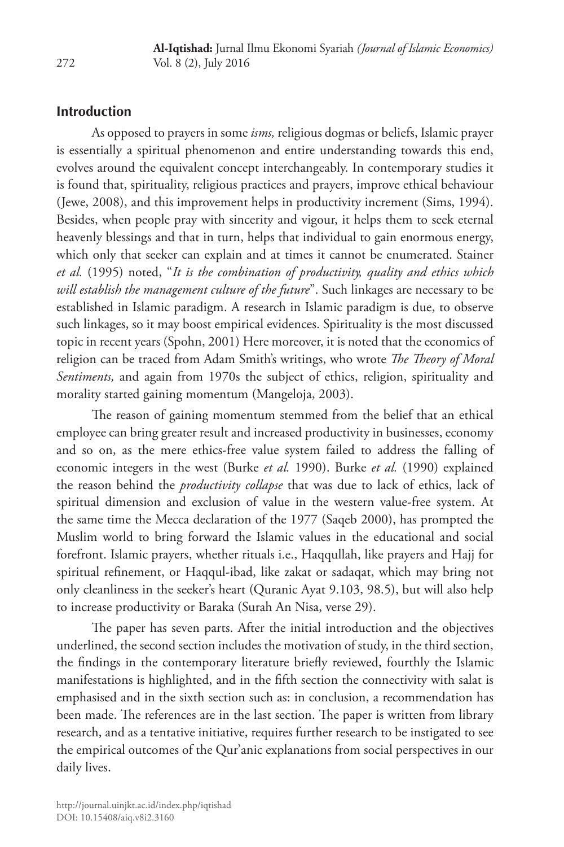#### **Introduction**

As opposed to prayers in some *isms,* religious dogmas or beliefs, Islamic prayer is essentially a spiritual phenomenon and entire understanding towards this end, evolves around the equivalent concept interchangeably. In contemporary studies it is found that, spirituality, religious practices and prayers, improve ethical behaviour (Jewe, 2008), and this improvement helps in productivity increment (Sims, 1994). Besides, when people pray with sincerity and vigour, it helps them to seek eternal heavenly blessings and that in turn, helps that individual to gain enormous energy, which only that seeker can explain and at times it cannot be enumerated. Stainer *et al.* (1995) noted, "*It is the combination of productivity, quality and ethics which will establish the management culture of the future*". Such linkages are necessary to be established in Islamic paradigm. A research in Islamic paradigm is due, to observe such linkages, so it may boost empirical evidences. Spirituality is the most discussed topic in recent years (Spohn, 2001) Here moreover, it is noted that the economics of religion can be traced from Adam Smith's writings, who wrote *The Theory of Moral Sentiments,* and again from 1970s the subject of ethics, religion, spirituality and morality started gaining momentum (Mangeloja, 2003).

The reason of gaining momentum stemmed from the belief that an ethical employee can bring greater result and increased productivity in businesses, economy and so on, as the mere ethics-free value system failed to address the falling of economic integers in the west (Burke *et al.* 1990). Burke *et al.* (1990) explained the reason behind the *productivity collapse* that was due to lack of ethics, lack of spiritual dimension and exclusion of value in the western value-free system. At the same time the Mecca declaration of the 1977 (Saqeb 2000), has prompted the Muslim world to bring forward the Islamic values in the educational and social forefront. Islamic prayers, whether rituals i.e., Haqqullah, like prayers and Hajj for spiritual refinement, or Haqqul-ibad, like zakat or sadaqat, which may bring not only cleanliness in the seeker's heart (Quranic Ayat 9.103, 98.5), but will also help to increase productivity or Baraka (Surah An Nisa, verse 29).

The paper has seven parts. After the initial introduction and the objectives underlined, the second section includes the motivation of study, in the third section, the findings in the contemporary literature briefly reviewed, fourthly the Islamic manifestations is highlighted, and in the fifth section the connectivity with salat is emphasised and in the sixth section such as: in conclusion, a recommendation has been made. The references are in the last section. The paper is written from library research, and as a tentative initiative, requires further research to be instigated to see the empirical outcomes of the Qur'anic explanations from social perspectives in our daily lives.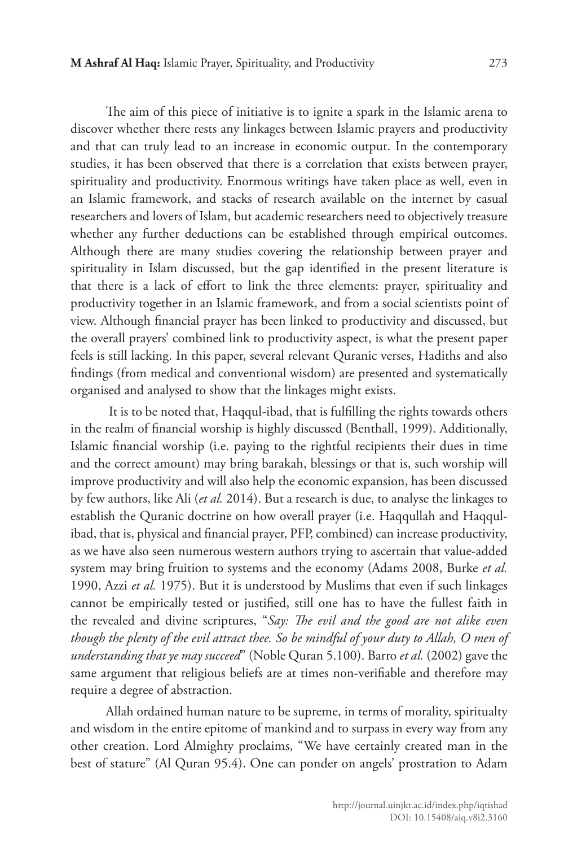The aim of this piece of initiative is to ignite a spark in the Islamic arena to discover whether there rests any linkages between Islamic prayers and productivity and that can truly lead to an increase in economic output. In the contemporary studies, it has been observed that there is a correlation that exists between prayer, spirituality and productivity. Enormous writings have taken place as well, even in an Islamic framework, and stacks of research available on the internet by casual researchers and lovers of Islam, but academic researchers need to objectively treasure whether any further deductions can be established through empirical outcomes. Although there are many studies covering the relationship between prayer and spirituality in Islam discussed, but the gap identified in the present literature is that there is a lack of effort to link the three elements: prayer, spirituality and productivity together in an Islamic framework, and from a social scientists point of view. Although financial prayer has been linked to productivity and discussed, but the overall prayers' combined link to productivity aspect, is what the present paper feels is still lacking. In this paper, several relevant Quranic verses, Hadiths and also findings (from medical and conventional wisdom) are presented and systematically organised and analysed to show that the linkages might exists.

 It is to be noted that, Haqqul-ibad, that is fulfilling the rights towards others in the realm of financial worship is highly discussed (Benthall, 1999). Additionally, Islamic financial worship (i.e. paying to the rightful recipients their dues in time and the correct amount) may bring barakah, blessings or that is, such worship will improve productivity and will also help the economic expansion, has been discussed by few authors, like Ali (*et al.* 2014). But a research is due, to analyse the linkages to establish the Quranic doctrine on how overall prayer (i.e. Haqqullah and Haqqulibad, that is, physical and financial prayer, PFP, combined) can increase productivity, as we have also seen numerous western authors trying to ascertain that value-added system may bring fruition to systems and the economy (Adams 2008, Burke *et al.* 1990, Azzi *et al.* 1975). But it is understood by Muslims that even if such linkages cannot be empirically tested or justified, still one has to have the fullest faith in the revealed and divine scriptures, "*Say: The evil and the good are not alike even though the plenty of the evil attract thee. So be mindful of your duty to Allah, O men of understanding that ye may succeed*" (Noble Quran 5.100). Barro *et al.* (2002) gave the same argument that religious beliefs are at times non-verifiable and therefore may require a degree of abstraction.

Allah ordained human nature to be supreme, in terms of morality, spiritualty and wisdom in the entire epitome of mankind and to surpass in every way from any other creation. Lord Almighty proclaims, "We have certainly created man in the best of stature" (Al Quran 95.4). One can ponder on angels' prostration to Adam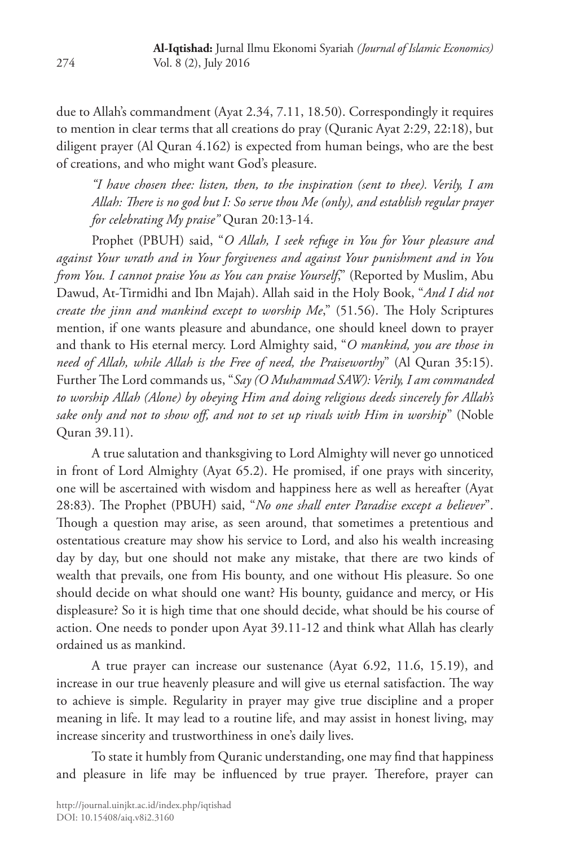due to Allah's commandment (Ayat 2.34, 7.11, 18.50). Correspondingly it requires to mention in clear terms that all creations do pray (Quranic Ayat 2:29, 22:18), but diligent prayer (Al Quran 4.162) is expected from human beings, who are the best of creations, and who might want God's pleasure.

*"I have chosen thee: listen, then, to the inspiration (sent to thee). Verily, I am Allah: There is no god but I: So serve thou Me (only), and establish regular prayer for celebrating My praise"* Quran 20:13-14.

Prophet (PBUH) said, "*O Allah, I seek refuge in You for Your pleasure and against Your wrath and in Your forgiveness and against Your punishment and in You from You. I cannot praise You as You can praise Yourself*," (Reported by Muslim, Abu Dawud, At-Tirmidhi and Ibn Majah). Allah said in the Holy Book, "*And I did not create the jinn and mankind except to worship Me*," (51.56). The Holy Scriptures mention, if one wants pleasure and abundance, one should kneel down to prayer and thank to His eternal mercy. Lord Almighty said, "*O mankind, you are those in need of Allah, while Allah is the Free of need, the Praiseworthy*" (Al Quran 35:15). Further The Lord commands us, "*Say (O Muhammad SAW): Verily, I am commanded to worship Allah (Alone) by obeying Him and doing religious deeds sincerely for Allah's sake only and not to show off, and not to set up rivals with Him in worship*" (Noble Quran 39.11).

A true salutation and thanksgiving to Lord Almighty will never go unnoticed in front of Lord Almighty (Ayat 65.2). He promised, if one prays with sincerity, one will be ascertained with wisdom and happiness here as well as hereafter (Ayat 28:83). The Prophet (PBUH) said, "*No one shall enter Paradise except a believer*". Though a question may arise, as seen around, that sometimes a pretentious and ostentatious creature may show his service to Lord, and also his wealth increasing day by day, but one should not make any mistake, that there are two kinds of wealth that prevails, one from His bounty, and one without His pleasure. So one should decide on what should one want? His bounty, guidance and mercy, or His displeasure? So it is high time that one should decide, what should be his course of action. One needs to ponder upon Ayat 39.11-12 and think what Allah has clearly ordained us as mankind.

A true prayer can increase our sustenance (Ayat 6.92, 11.6, 15.19), and increase in our true heavenly pleasure and will give us eternal satisfaction. The way to achieve is simple. Regularity in prayer may give true discipline and a proper meaning in life. It may lead to a routine life, and may assist in honest living, may increase sincerity and trustworthiness in one's daily lives.

To state it humbly from Quranic understanding, one may find that happiness and pleasure in life may be influenced by true prayer. Therefore, prayer can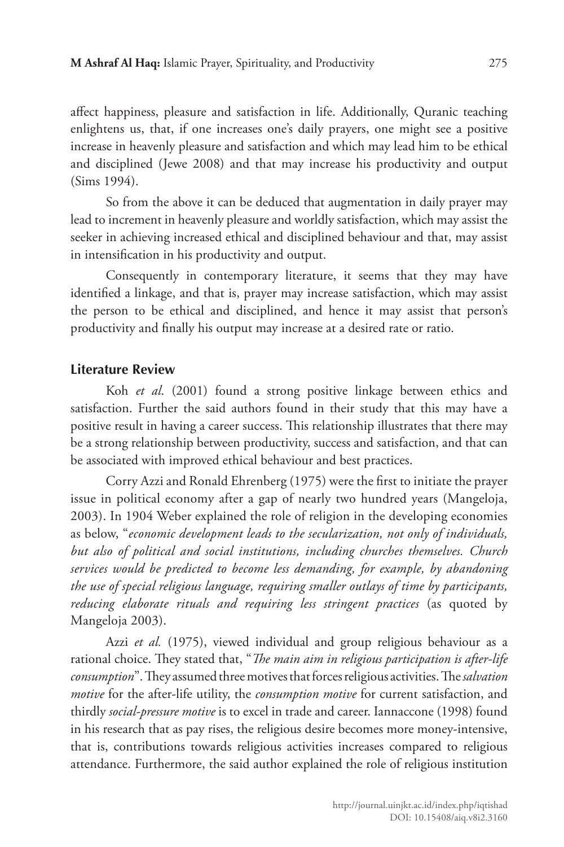affect happiness, pleasure and satisfaction in life. Additionally, Quranic teaching enlightens us, that, if one increases one's daily prayers, one might see a positive increase in heavenly pleasure and satisfaction and which may lead him to be ethical and disciplined (Jewe 2008) and that may increase his productivity and output (Sims 1994).

So from the above it can be deduced that augmentation in daily prayer may lead to increment in heavenly pleasure and worldly satisfaction, which may assist the seeker in achieving increased ethical and disciplined behaviour and that, may assist in intensification in his productivity and output.

Consequently in contemporary literature, it seems that they may have identified a linkage, and that is, prayer may increase satisfaction, which may assist the person to be ethical and disciplined, and hence it may assist that person's productivity and finally his output may increase at a desired rate or ratio.

## **Literature Review**

Koh *et al*. (2001) found a strong positive linkage between ethics and satisfaction. Further the said authors found in their study that this may have a positive result in having a career success. This relationship illustrates that there may be a strong relationship between productivity, success and satisfaction, and that can be associated with improved ethical behaviour and best practices.

Corry Azzi and Ronald Ehrenberg (1975) were the first to initiate the prayer issue in political economy after a gap of nearly two hundred years (Mangeloja, 2003). In 1904 Weber explained the role of religion in the developing economies as below, "*economic development leads to the secularization, not only of individuals, but also of political and social institutions, including churches themselves. Church services would be predicted to become less demanding, for example, by abandoning the use of special religious language, requiring smaller outlays of time by participants, reducing elaborate rituals and requiring less stringent practices* (as quoted by Mangeloja 2003).

Azzi *et al.* (1975), viewed individual and group religious behaviour as a rational choice. They stated that, "*The main aim in religious participation is after-life consumption*". They assumed three motives that forces religious activities. The *salvation motive* for the after-life utility, the *consumption motive* for current satisfaction, and thirdly *social-pressure motive* is to excel in trade and career. Iannaccone (1998) found in his research that as pay rises, the religious desire becomes more money-intensive, that is, contributions towards religious activities increases compared to religious attendance. Furthermore, the said author explained the role of religious institution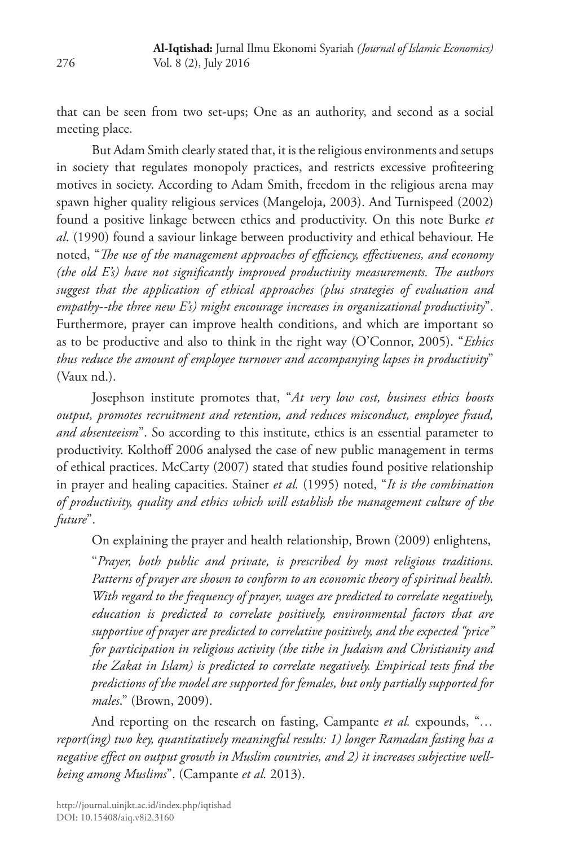that can be seen from two set-ups; One as an authority, and second as a social meeting place.

But Adam Smith clearly stated that, it is the religious environments and setups in society that regulates monopoly practices, and restricts excessive profiteering motives in society. According to Adam Smith, freedom in the religious arena may spawn higher quality religious services (Mangeloja, 2003). And Turnispeed (2002) found a positive linkage between ethics and productivity. On this note Burke *et al*. (1990) found a saviour linkage between productivity and ethical behaviour. He noted, "*The use of the management approaches of efficiency, effectiveness, and economy (the old E's) have not significantly improved productivity measurements. The authors suggest that the application of ethical approaches (plus strategies of evaluation and empathy--the three new E's) might encourage increases in organizational productivity*". Furthermore, prayer can improve health conditions, and which are important so as to be productive and also to think in the right way (O'Connor, 2005). "*Ethics thus reduce the amount of employee turnover and accompanying lapses in productivity*" (Vaux nd.).

Josephson institute promotes that, "*At very low cost, business ethics boosts output, promotes recruitment and retention, and reduces misconduct, employee fraud, and absenteeism*". So according to this institute, ethics is an essential parameter to productivity. Kolthoff 2006 analysed the case of new public management in terms of ethical practices. McCarty (2007) stated that studies found positive relationship in prayer and healing capacities. Stainer *et al.* (1995) noted, "*It is the combination of productivity, quality and ethics which will establish the management culture of the future*".

On explaining the prayer and health relationship, Brown (2009) enlightens, "*Prayer, both public and private, is prescribed by most religious traditions. Patterns of prayer are shown to conform to an economic theory of spiritual health. With regard to the frequency of prayer, wages are predicted to correlate negatively, education is predicted to correlate positively, environmental factors that are supportive of prayer are predicted to correlative positively, and the expected "price" for participation in religious activity (the tithe in Judaism and Christianity and the Zakat in Islam) is predicted to correlate negatively. Empirical tests find the predictions of the model are supported for females, but only partially supported for* 

And reporting on the research on fasting, Campante *et al.* expounds, "*… report(ing) two key, quantitatively meaningful results: 1) longer Ramadan fasting has a negative effect on output growth in Muslim countries, and 2) it increases subjective wellbeing among Muslims*". (Campante *et al.* 2013).

*males*." (Brown, 2009).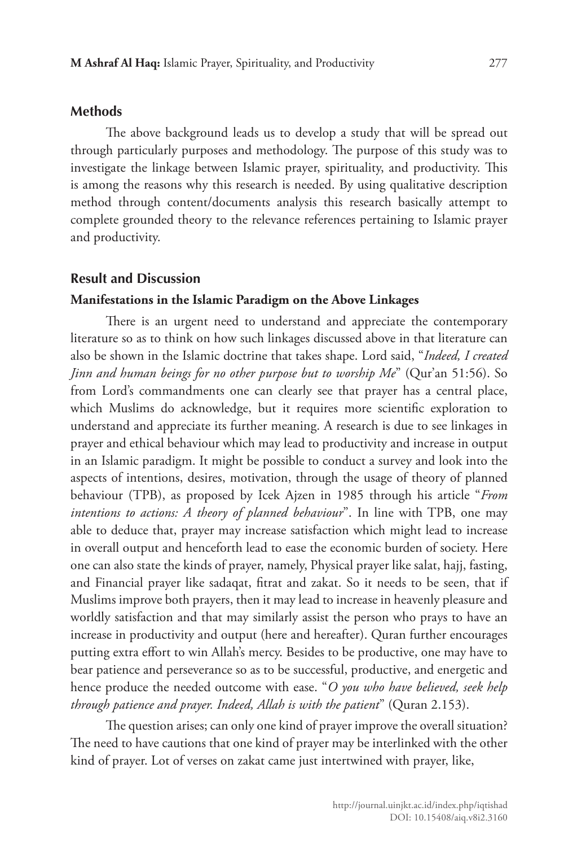#### **Methods**

The above background leads us to develop a study that will be spread out through particularly purposes and methodology. The purpose of this study was to investigate the linkage between Islamic prayer, spirituality, and productivity. This is among the reasons why this research is needed. By using qualitative description method through content/documents analysis this research basically attempt to complete grounded theory to the relevance references pertaining to Islamic prayer and productivity.

#### **Result and Discussion**

#### **Manifestations in the Islamic Paradigm on the Above Linkages**

There is an urgent need to understand and appreciate the contemporary literature so as to think on how such linkages discussed above in that literature can also be shown in the Islamic doctrine that takes shape. Lord said, "*Indeed, I created Jinn and human beings for no other purpose but to worship Me*" (Qur'an 51:56). So from Lord's commandments one can clearly see that prayer has a central place, which Muslims do acknowledge, but it requires more scientific exploration to understand and appreciate its further meaning. A research is due to see linkages in prayer and ethical behaviour which may lead to productivity and increase in output in an Islamic paradigm. It might be possible to conduct a survey and look into the aspects of intentions, desires, motivation, through the usage of theory of planned behaviour (TPB), as proposed by Icek Ajzen in 1985 through his article "*From intentions to actions: A theory of planned behaviour*". In line with TPB, one may able to deduce that, prayer may increase satisfaction which might lead to increase in overall output and henceforth lead to ease the economic burden of society. Here one can also state the kinds of prayer, namely, Physical prayer like salat, hajj, fasting, and Financial prayer like sadaqat, fitrat and zakat. So it needs to be seen, that if Muslims improve both prayers, then it may lead to increase in heavenly pleasure and worldly satisfaction and that may similarly assist the person who prays to have an increase in productivity and output (here and hereafter). Quran further encourages putting extra effort to win Allah's mercy. Besides to be productive, one may have to bear patience and perseverance so as to be successful, productive, and energetic and hence produce the needed outcome with ease. "*O you who have believed, seek help through patience and prayer. Indeed, Allah is with the patient*" (Quran 2.153).

The question arises; can only one kind of prayer improve the overall situation? The need to have cautions that one kind of prayer may be interlinked with the other kind of prayer. Lot of verses on zakat came just intertwined with prayer, like,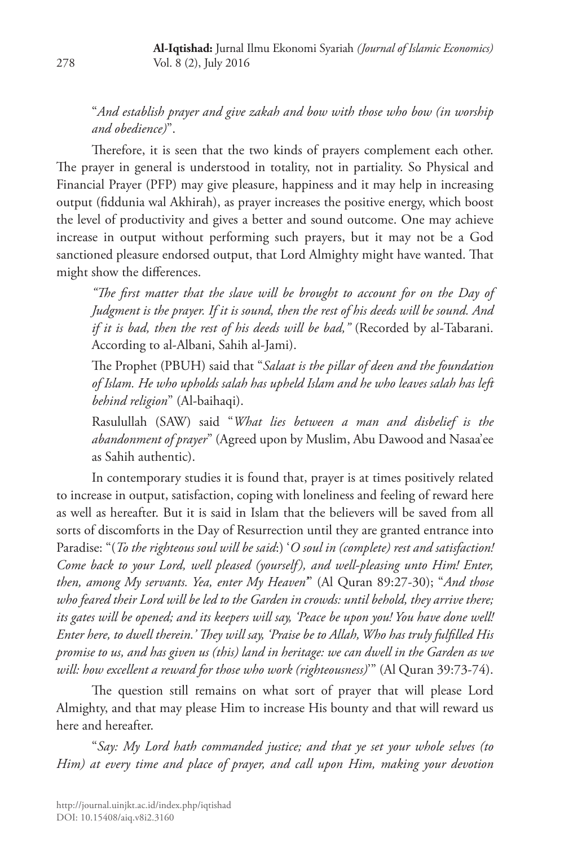"*And establish prayer and give zakah and bow with those who bow (in worship and obedience)*".

Therefore, it is seen that the two kinds of prayers complement each other. The prayer in general is understood in totality, not in partiality. So Physical and Financial Prayer (PFP) may give pleasure, happiness and it may help in increasing output (fiddunia wal Akhirah), as prayer increases the positive energy, which boost the level of productivity and gives a better and sound outcome. One may achieve increase in output without performing such prayers, but it may not be a God sanctioned pleasure endorsed output, that Lord Almighty might have wanted. That might show the differences.

*"The first matter that the slave will be brought to account for on the Day of Judgment is the prayer. If it is sound, then the rest of his deeds will be sound. And if it is bad, then the rest of his deeds will be bad,"* (Recorded by al-Tabarani. According to al-Albani, Sahih al-Jami).

The Prophet (PBUH) said that "*Salaat is the pillar of deen and the foundation of Islam. He who upholds salah has upheld Islam and he who leaves salah has left behind religion*" (Al-baihaqi).

Rasulullah (SAW) said "*What lies between a man and disbelief is the abandonment of prayer*" (Agreed upon by Muslim, Abu Dawood and Nasaa'ee as Sahih authentic).

In contemporary studies it is found that, prayer is at times positively related to increase in output, satisfaction, coping with loneliness and feeling of reward here as well as hereafter. But it is said in Islam that the believers will be saved from all sorts of discomforts in the Day of Resurrection until they are granted entrance into Paradise: "(*To the righteous soul will be said*:) '*O soul in (complete) rest and satisfaction! Come back to your Lord, well pleased (yourself), and well-pleasing unto Him! Enter, then, among My servants. Yea, enter My Heaven'*" (Al Quran 89:27-30); "*And those who feared their Lord will be led to the Garden in crowds: until behold, they arrive there; its gates will be opened; and its keepers will say, 'Peace be upon you! You have done well! Enter here, to dwell therein.' They will say, 'Praise be to Allah, Who has truly fulfilled His promise to us, and has given us (this) land in heritage: we can dwell in the Garden as we will: how excellent a reward for those who work (righteousness)*'" (Al Quran 39:73-74).

The question still remains on what sort of prayer that will please Lord Almighty, and that may please Him to increase His bounty and that will reward us here and hereafter.

"*Say: My Lord hath commanded justice; and that ye set your whole selves (to Him) at every time and place of prayer, and call upon Him, making your devotion*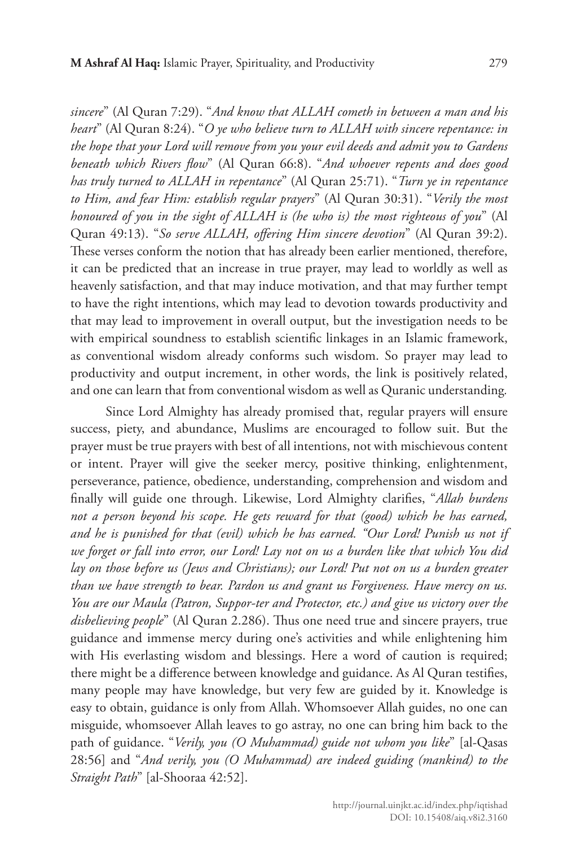*sincere*" (Al Quran 7:29). "*And know that ALLAH cometh in between a man and his heart*" (Al Quran 8:24). "*O ye who believe turn to ALLAH with sincere repentance: in the hope that your Lord will remove from you your evil deeds and admit you to Gardens beneath which Rivers flow*" (Al Quran 66:8). "*And whoever repents and does good has truly turned to ALLAH in repentance*" (Al Quran 25:71). "*Turn ye in repentance to Him, and fear Him: establish regular prayers*" (Al Quran 30:31). "*Verily the most honoured of you in the sight of ALLAH is (he who is) the most righteous of you*" (Al Quran 49:13). "*So serve ALLAH, offering Him sincere devotion*" (Al Quran 39:2). These verses conform the notion that has already been earlier mentioned, therefore, it can be predicted that an increase in true prayer, may lead to worldly as well as heavenly satisfaction, and that may induce motivation, and that may further tempt to have the right intentions, which may lead to devotion towards productivity and that may lead to improvement in overall output, but the investigation needs to be with empirical soundness to establish scientific linkages in an Islamic framework, as conventional wisdom already conforms such wisdom. So prayer may lead to productivity and output increment, in other words, the link is positively related, and one can learn that from conventional wisdom as well as Quranic understanding*.*

Since Lord Almighty has already promised that, regular prayers will ensure success, piety, and abundance, Muslims are encouraged to follow suit. But the prayer must be true prayers with best of all intentions, not with mischievous content or intent. Prayer will give the seeker mercy, positive thinking, enlightenment, perseverance, patience, obedience, understanding, comprehension and wisdom and finally will guide one through. Likewise, Lord Almighty clarifies, "*Allah burdens not a person beyond his scope. He gets reward for that (good) which he has earned, and he is punished for that (evil) which he has earned. "Our Lord! Punish us not if we forget or fall into error, our Lord! Lay not on us a burden like that which You did lay on those before us (Jews and Christians); our Lord! Put not on us a burden greater than we have strength to bear. Pardon us and grant us Forgiveness. Have mercy on us. You are our Maula (Patron, Suppor-ter and Protector, etc.) and give us victory over the disbelieving people*" (Al Quran 2.286). Thus one need true and sincere prayers, true guidance and immense mercy during one's activities and while enlightening him with His everlasting wisdom and blessings. Here a word of caution is required; there might be a difference between knowledge and guidance. As Al Quran testifies, many people may have knowledge, but very few are guided by it. Knowledge is easy to obtain, guidance is only from Allah. Whomsoever Allah guides, no one can misguide, whomsoever Allah leaves to go astray, no one can bring him back to the path of guidance. "*Verily, you (O Muhammad) guide not whom you like*" [al-Qasas 28:56] and "*And verily, you (O Muhammad) are indeed guiding (mankind) to the Straight Path*" [al-Shooraa 42:52].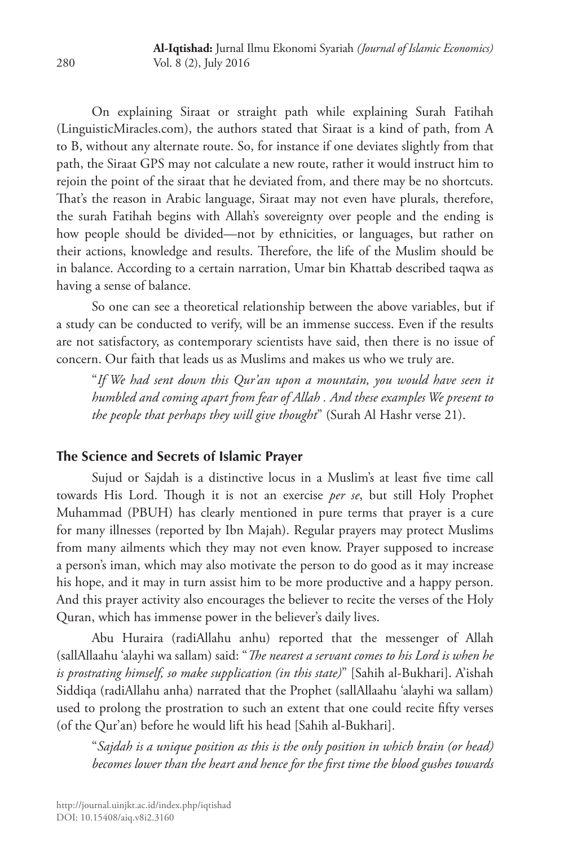On explaining Siraat or straight path while explaining Surah Fatihah (LinguisticMiracles.com), the authors stated that Siraat is a kind of path, from A to B, without any alternate route. So, for instance if one deviates slightly from that path, the Siraat GPS may not calculate a new route, rather it would instruct him to rejoin the point of the siraat that he deviated from, and there may be no shortcuts. That's the reason in Arabic language, Siraat may not even have plurals, therefore, the surah Fatihah begins with Allah's sovereignty over people and the ending is how people should be divided—not by ethnicities, or languages, but rather on their actions, knowledge and results. Therefore, the life of the Muslim should be in balance. According to a certain narration, Umar bin Khattab described taqwa as having a sense of balance.

So one can see a theoretical relationship between the above variables, but if a study can be conducted to verify, will be an immense success. Even if the results are not satisfactory, as contemporary scientists have said, then there is no issue of concern. Our faith that leads us as Muslims and makes us who we truly are.

"*If We had sent down this Qur'an upon a mountain, you would have seen it humbled and coming apart from fear of Allah . And these examples We present to the people that perhaps they will give thought*" (Surah Al Hashr verse 21).

## **The Science and Secrets of Islamic Prayer**

Sujud or Sajdah is a distinctive locus in a Muslim's at least five time call towards His Lord. Though it is not an exercise *per se*, but still Holy Prophet Muhammad (PBUH) has clearly mentioned in pure terms that prayer is a cure for many illnesses (reported by Ibn Majah). Regular prayers may protect Muslims from many ailments which they may not even know. Prayer supposed to increase a person's iman, which may also motivate the person to do good as it may increase his hope, and it may in turn assist him to be more productive and a happy person. And this prayer activity also encourages the believer to recite the verses of the Holy Quran, which has immense power in the believer's daily lives.

Abu Huraira (radiAllahu anhu) reported that the messenger of Allah (sallAllaahu 'alayhi wa sallam) said: "*The nearest a servant comes to his Lord is when he is prostrating himself, so make supplication (in this state)*" [Sahih al-Bukhari]. A'ishah Siddiqa (radiAllahu anha) narrated that the Prophet (sallAllaahu 'alayhi wa sallam) used to prolong the prostration to such an extent that one could recite fifty verses (of the Qur'an) before he would lift his head [Sahih al-Bukhari].

"*Sajdah is a unique position as this is the only position in which brain (or head) becomes lower than the heart and hence for the first time the blood gushes towards*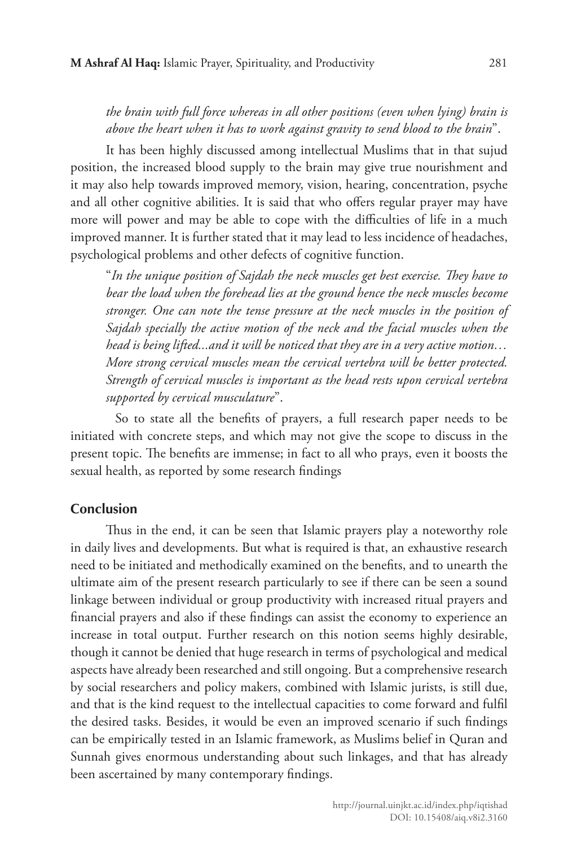## *the brain with full force whereas in all other positions (even when lying) brain is above the heart when it has to work against gravity to send blood to the brain*".

It has been highly discussed among intellectual Muslims that in that sujud position, the increased blood supply to the brain may give true nourishment and it may also help towards improved memory, vision, hearing, concentration, psyche and all other cognitive abilities. It is said that who offers regular prayer may have more will power and may be able to cope with the difficulties of life in a much improved manner. It is further stated that it may lead to less incidence of headaches, psychological problems and other defects of cognitive function.

"*In the unique position of Sajdah the neck muscles get best exercise. They have to bear the load when the forehead lies at the ground hence the neck muscles become stronger. One can note the tense pressure at the neck muscles in the position of Sajdah specially the active motion of the neck and the facial muscles when the head is being lifted...and it will be noticed that they are in a very active motion… More strong cervical muscles mean the cervical vertebra will be better protected. Strength of cervical muscles is important as the head rests upon cervical vertebra supported by cervical musculature*".

So to state all the benefits of prayers, a full research paper needs to be initiated with concrete steps, and which may not give the scope to discuss in the present topic. The benefits are immense; in fact to all who prays, even it boosts the sexual health, as reported by some research findings

#### **Conclusion**

Thus in the end, it can be seen that Islamic prayers play a noteworthy role in daily lives and developments. But what is required is that, an exhaustive research need to be initiated and methodically examined on the benefits, and to unearth the ultimate aim of the present research particularly to see if there can be seen a sound linkage between individual or group productivity with increased ritual prayers and financial prayers and also if these findings can assist the economy to experience an increase in total output. Further research on this notion seems highly desirable, though it cannot be denied that huge research in terms of psychological and medical aspects have already been researched and still ongoing. But a comprehensive research by social researchers and policy makers, combined with Islamic jurists, is still due, and that is the kind request to the intellectual capacities to come forward and fulfil the desired tasks. Besides, it would be even an improved scenario if such findings can be empirically tested in an Islamic framework, as Muslims belief in Quran and Sunnah gives enormous understanding about such linkages, and that has already been ascertained by many contemporary findings.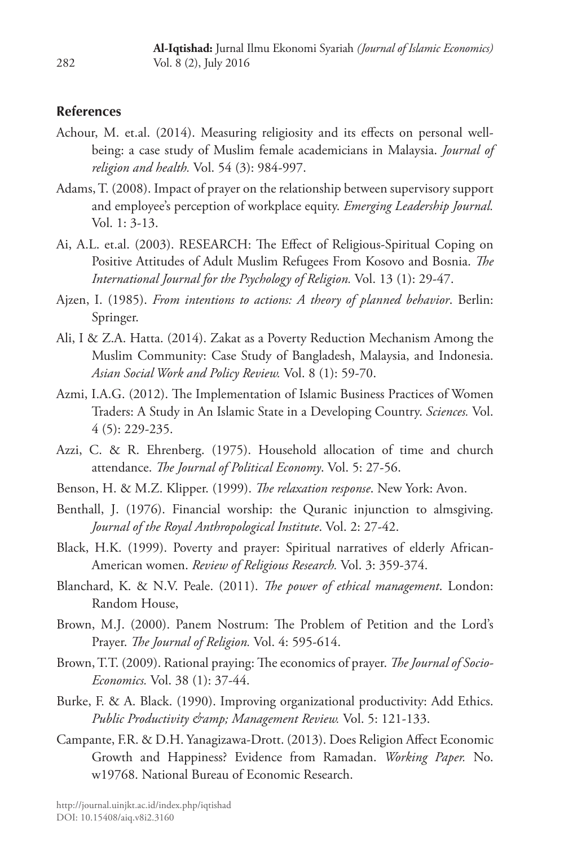#### **References**

- Achour, M. et.al. (2014). Measuring religiosity and its effects on personal wellbeing: a case study of Muslim female academicians in Malaysia. *Journal of religion and health.* Vol. 54 (3): 984-997.
- Adams, T. (2008). Impact of prayer on the relationship between supervisory support and employee's perception of workplace equity. *Emerging Leadership Journal.* Vol. 1: 3-13.
- Ai, A.L. et.al. (2003). RESEARCH: The Effect of Religious-Spiritual Coping on Positive Attitudes of Adult Muslim Refugees From Kosovo and Bosnia. *The International Journal for the Psychology of Religion.* Vol. 13 (1): 29-47.
- Ajzen, I. (1985). *From intentions to actions: A theory of planned behavior*. Berlin: Springer.
- Ali, I & Z.A. Hatta. (2014). Zakat as a Poverty Reduction Mechanism Among the Muslim Community: Case Study of Bangladesh, Malaysia, and Indonesia. *Asian Social Work and Policy Review.* Vol. 8 (1): 59-70.
- Azmi, I.A.G. (2012). The Implementation of Islamic Business Practices of Women Traders: A Study in An Islamic State in a Developing Country. *Sciences.* Vol. 4 (5): 229-235.
- Azzi, C. & R. Ehrenberg. (1975). Household allocation of time and church attendance. *The Journal of Political Economy*. Vol. 5: 27-56.
- Benson, H. & M.Z. Klipper. (1999). *The relaxation response*. New York: Avon.
- Benthall, J. (1976). Financial worship: the Quranic injunction to almsgiving. *Journal of the Royal Anthropological Institute*. Vol. 2: 27-42.
- Black, H.K. (1999). Poverty and prayer: Spiritual narratives of elderly African-American women. *Review of Religious Research.* Vol. 3: 359-374.
- Blanchard, K. & N.V. Peale. (2011). *The power of ethical management*. London: Random House,
- Brown, M.J. (2000). Panem Nostrum: The Problem of Petition and the Lord's Prayer. *The Journal of Religion.* Vol. 4: 595-614.
- Brown, T.T. (2009). Rational praying: The economics of prayer. *The Journal of Socio-Economics.* Vol. 38 (1): 37-44.
- Burke, F. & A. Black. (1990). Improving organizational productivity: Add Ethics. *Public Productivity & Management Review.* Vol. 5: 121-133.
- Campante, F.R. & D.H. Yanagizawa-Drott. (2013). Does Religion Affect Economic Growth and Happiness? Evidence from Ramadan. *Working Paper.* No. w19768. National Bureau of Economic Research.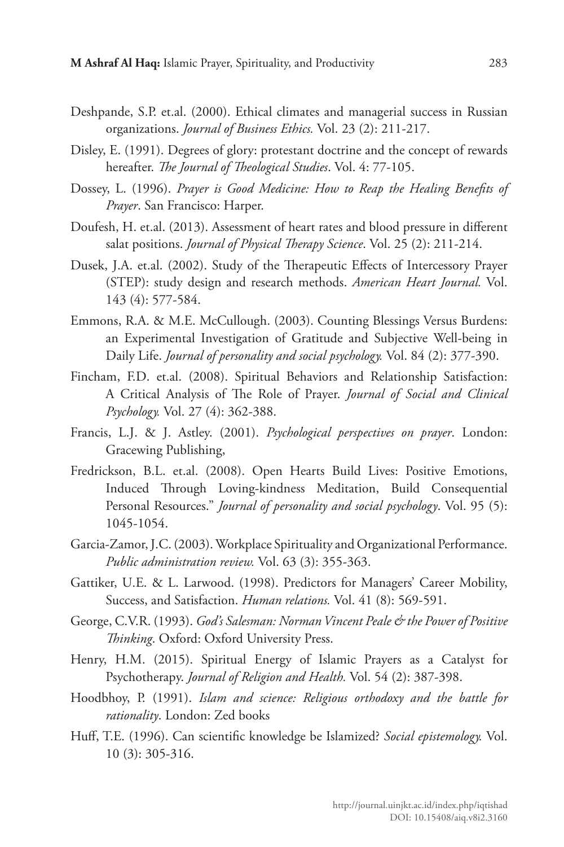- Deshpande, S.P. et.al. (2000). Ethical climates and managerial success in Russian organizations. *Journal of Business Ethics.* Vol. 23 (2): 211-217.
- Disley, E. (1991). Degrees of glory: protestant doctrine and the concept of rewards hereafter. *The Journal of Theological Studies*. Vol. 4: 77-105.
- Dossey, L. (1996). *Prayer is Good Medicine: How to Reap the Healing Benefits of Prayer*. San Francisco: Harper.
- Doufesh, H. et.al. (2013). Assessment of heart rates and blood pressure in different salat positions. *Journal of Physical Therapy Science*. Vol. 25 (2): 211-214.
- Dusek, J.A. et.al. (2002). Study of the Therapeutic Effects of Intercessory Prayer (STEP): study design and research methods. *American Heart Journal.* Vol. 143 (4): 577-584.
- Emmons, R.A. & M.E. McCullough. (2003). Counting Blessings Versus Burdens: an Experimental Investigation of Gratitude and Subjective Well-being in Daily Life. *Journal of personality and social psychology.* Vol. 84 (2): 377-390.
- Fincham, F.D. et.al. (2008). Spiritual Behaviors and Relationship Satisfaction: A Critical Analysis of The Role of Prayer. *Journal of Social and Clinical Psychology.* Vol. 27 (4): 362-388.
- Francis, L.J. & J. Astley. (2001). *Psychological perspectives on prayer*. London: Gracewing Publishing,
- Fredrickson, B.L. et.al. (2008). Open Hearts Build Lives: Positive Emotions, Induced Through Loving-kindness Meditation, Build Consequential Personal Resources." *Journal of personality and social psychology*. Vol. 95 (5): 1045-1054.
- Garcia‐Zamor, J.C. (2003). Workplace Spirituality and Organizational Performance. *Public administration review.* Vol. 63 (3): 355-363.
- Gattiker, U.E. & L. Larwood. (1998). Predictors for Managers' Career Mobility, Success, and Satisfaction. *Human relations.* Vol. 41 (8): 569-591.
- George, C.V.R. (1993). *God's Salesman: Norman Vincent Peale & the Power of Positive Thinking*. Oxford: Oxford University Press.
- Henry, H.M. (2015). Spiritual Energy of Islamic Prayers as a Catalyst for Psychotherapy. *Journal of Religion and Health.* Vol. 54 (2): 387-398.
- Hoodbhoy, P. (1991). *Islam and science: Religious orthodoxy and the battle for rationality*. London: Zed books
- Huff, T.E. (1996). Can scientific knowledge be Islamized? *Social epistemology.* Vol. 10 (3): 305-316.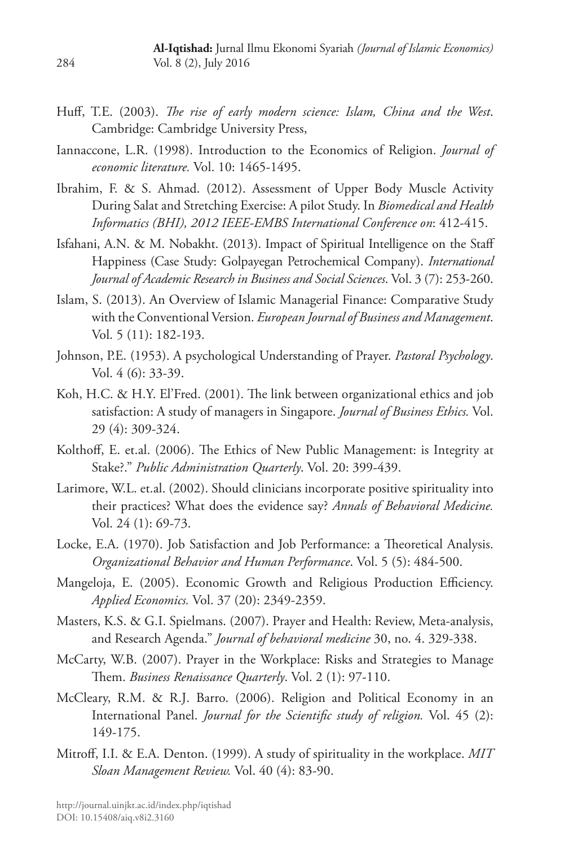- Huff, T.E. (2003). *The rise of early modern science: Islam, China and the West*. Cambridge: Cambridge University Press,
- Iannaccone, L.R. (1998). Introduction to the Economics of Religion. *Journal of economic literature.* Vol. 10: 1465-1495.
- Ibrahim, F. & S. Ahmad. (2012). Assessment of Upper Body Muscle Activity During Salat and Stretching Exercise: A pilot Study. In *Biomedical and Health Informatics (BHI), 2012 IEEE-EMBS International Conference on*: 412-415.
- Isfahani, A.N. & M. Nobakht. (2013). Impact of Spiritual Intelligence on the Staff Happiness (Case Study: Golpayegan Petrochemical Company). *International Journal of Academic Research in Business and Social Sciences*. Vol. 3 (7): 253-260.
- Islam, S. (2013). An Overview of Islamic Managerial Finance: Comparative Study with the Conventional Version. *European Journal of Business and Management*. Vol. 5 (11): 182-193.
- Johnson, P.E. (1953). A psychological Understanding of Prayer. *Pastoral Psychology*. Vol. 4 (6): 33-39.
- Koh, H.C. & H.Y. El'Fred. (2001). The link between organizational ethics and job satisfaction: A study of managers in Singapore. *Journal of Business Ethics.* Vol. 29 (4): 309-324.
- Kolthoff, E. et.al. (2006). The Ethics of New Public Management: is Integrity at Stake?." *Public Administration Quarterly*. Vol. 20: 399-439.
- Larimore, W.L. et.al. (2002). Should clinicians incorporate positive spirituality into their practices? What does the evidence say? *Annals of Behavioral Medicine.* Vol. 24 (1): 69-73.
- Locke, E.A. (1970). Job Satisfaction and Job Performance: a Theoretical Analysis. *Organizational Behavior and Human Performance*. Vol. 5 (5): 484-500.
- Mangeloja, E. (2005). Economic Growth and Religious Production Efficiency. *Applied Economics.* Vol. 37 (20): 2349-2359.
- Masters, K.S. & G.I. Spielmans. (2007). Prayer and Health: Review, Meta-analysis, and Research Agenda." *Journal of behavioral medicine* 30, no. 4. 329-338.
- McCarty, W.B. (2007). Prayer in the Workplace: Risks and Strategies to Manage Them. *Business Renaissance Quarterly*. Vol. 2 (1): 97-110.
- McCleary, R.M. & R.J. Barro. (2006). Religion and Political Economy in an International Panel. *Journal for the Scientific study of religion.* Vol. 45 (2): 149-175.
- Mitroff, I.I. & E.A. Denton. (1999). A study of spirituality in the workplace. *MIT Sloan Management Review.* Vol. 40 (4): 83-90.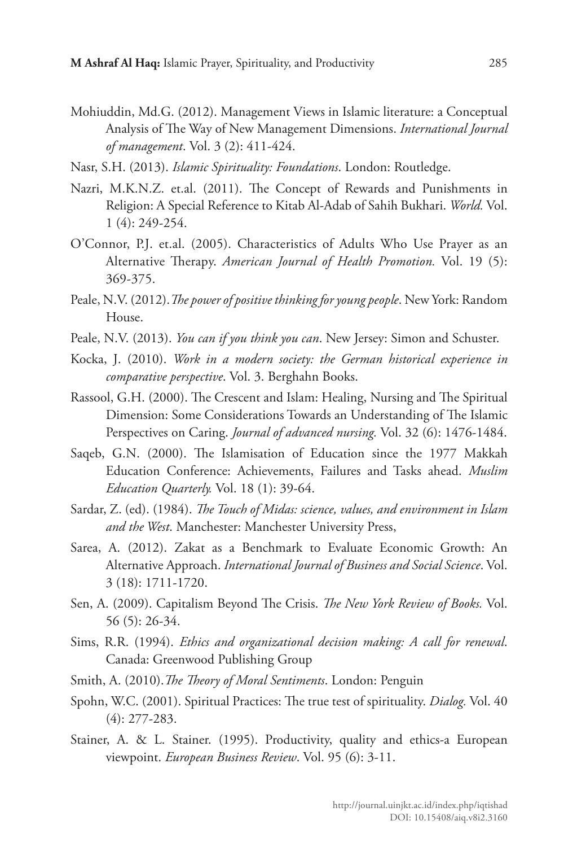- Mohiuddin, Md.G. (2012). Management Views in Islamic literature: a Conceptual Analysis of The Way of New Management Dimensions. *International Journal of management*. Vol. 3 (2): 411-424.
- Nasr, S.H. (2013). *Islamic Spirituality: Foundations*. London: Routledge.
- Nazri, M.K.N.Z. et.al. (2011). The Concept of Rewards and Punishments in Religion: A Special Reference to Kitab Al-Adab of Sahih Bukhari. *World.* Vol. 1 (4): 249-254.
- O'Connor, P.J. et.al. (2005). Characteristics of Adults Who Use Prayer as an Alternative Therapy. *American Journal of Health Promotion.* Vol. 19 (5): 369-375.
- Peale, N.V. (2012).*The power of positive thinking for young people*. New York: Random House.
- Peale, N.V. (2013). *You can if you think you can*. New Jersey: Simon and Schuster.
- Kocka, J. (2010). *Work in a modern society: the German historical experience in comparative perspective*. Vol. 3. Berghahn Books.
- Rassool, G.H. (2000). The Crescent and Islam: Healing, Nursing and The Spiritual Dimension: Some Considerations Towards an Understanding of The Islamic Perspectives on Caring. *Journal of advanced nursing.* Vol. 32 (6): 1476-1484.
- Saqeb, G.N. (2000). The Islamisation of Education since the 1977 Makkah Education Conference: Achievements, Failures and Tasks ahead. *Muslim Education Quarterly.* Vol. 18 (1): 39-64.
- Sardar, Z. (ed). (1984). *The Touch of Midas: science, values, and environment in Islam and the West*. Manchester: Manchester University Press,
- Sarea, A. (2012). Zakat as a Benchmark to Evaluate Economic Growth: An Alternative Approach. *International Journal of Business and Social Science*. Vol. 3 (18): 1711-1720.
- Sen, A. (2009). Capitalism Beyond The Crisis. *The New York Review of Books.* Vol. 56 (5): 26-34.
- Sims, R.R. (1994). *Ethics and organizational decision making: A call for renewal*. Canada: Greenwood Publishing Group
- Smith, A. (2010).*The Theory of Moral Sentiments*. London: Penguin
- Spohn, W.C. (2001). Spiritual Practices: The true test of spirituality. *Dialog.* Vol. 40 (4): 277-283.
- Stainer, A. & L. Stainer. (1995). Productivity, quality and ethics-a European viewpoint. *European Business Review*. Vol. 95 (6): 3-11.